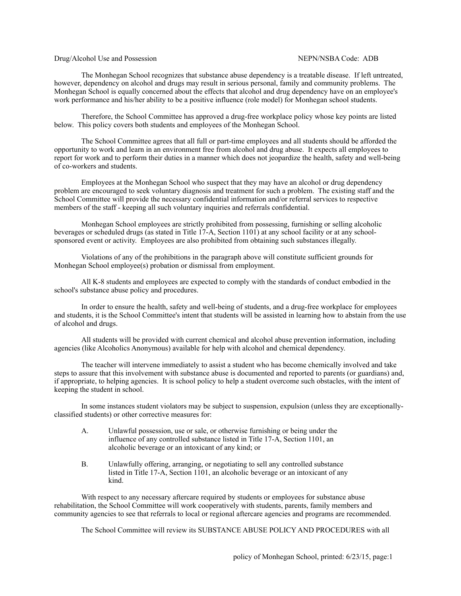## Drug/Alcohol Use and Possession NEPN/NSBA Code: ADB

The Monhegan School recognizes that substance abuse dependency is a treatable disease. If left untreated, however, dependency on alcohol and drugs may result in serious personal, family and community problems. The Monhegan School is equally concerned about the effects that alcohol and drug dependency have on an employee's work performance and his/her ability to be a positive influence (role model) for Monhegan school students.

Therefore, the School Committee has approved a drug-free workplace policy whose key points are listed below. This policy covers both students and employees of the Monhegan School.

The School Committee agrees that all full or part-time employees and all students should be afforded the opportunity to work and learn in an environment free from alcohol and drug abuse. It expects all employees to report for work and to perform their duties in a manner which does not jeopardize the health, safety and well-being of co-workers and students.

Employees at the Monhegan School who suspect that they may have an alcohol or drug dependency problem are encouraged to seek voluntary diagnosis and treatment for such a problem. The existing staff and the School Committee will provide the necessary confidential information and/or referral services to respective members of the staff - keeping all such voluntary inquiries and referrals confidential.

Monhegan School employees are strictly prohibited from possessing, furnishing or selling alcoholic beverages or scheduled drugs (as stated in Title 17-A, Section 1101) at any school facility or at any schoolsponsored event or activity. Employees are also prohibited from obtaining such substances illegally.

Violations of any of the prohibitions in the paragraph above will constitute sufficient grounds for Monhegan School employee(s) probation or dismissal from employment.

All K-8 students and employees are expected to comply with the standards of conduct embodied in the school's substance abuse policy and procedures.

In order to ensure the health, safety and well-being of students, and a drug-free workplace for employees and students, it is the School Committee's intent that students will be assisted in learning how to abstain from the use of alcohol and drugs.

All students will be provided with current chemical and alcohol abuse prevention information, including agencies (like Alcoholics Anonymous) available for help with alcohol and chemical dependency.

The teacher will intervene immediately to assist a student who has become chemically involved and take steps to assure that this involvement with substance abuse is documented and reported to parents (or guardians) and, if appropriate, to helping agencies. It is school policy to help a student overcome such obstacles, with the intent of keeping the student in school.

In some instances student violators may be subject to suspension, expulsion (unless they are exceptionallyclassified students) or other corrective measures for:

- A. Unlawful possession, use or sale, or otherwise furnishing or being under the influence of any controlled substance listed in Title 17-A, Section 1101, an alcoholic beverage or an intoxicant of any kind; or
- B. Unlawfully offering, arranging, or negotiating to sell any controlled substance listed in Title 17-A, Section 1101, an alcoholic beverage or an intoxicant of any kind.

With respect to any necessary aftercare required by students or employees for substance abuse rehabilitation, the School Committee will work cooperatively with students, parents, family members and community agencies to see that referrals to local or regional aftercare agencies and programs are recommended.

The School Committee will review its SUBSTANCE ABUSE POLICY AND PROCEDURES with all